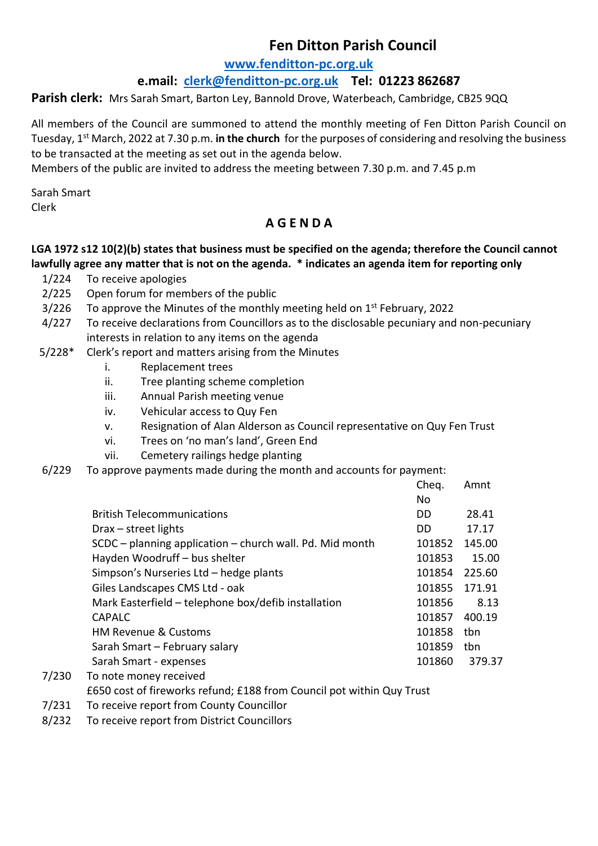# **Fen Ditton Parish Council**

### **[www.fenditton-pc.org.uk](http://www.fenditton-pc.org.uk/)**

## **e.mail: [clerk@fenditton-pc.org.uk](mailto:clerk@fenditton-pc.org.uk) Tel: 01223 862687**

Parish clerk: Mrs Sarah Smart, Barton Ley, Bannold Drove, Waterbeach, Cambridge, CB25 9QQ

All members of the Council are summoned to attend the monthly meeting of Fen Ditton Parish Council on Tuesday, 1st March, 2022 at 7.30 p.m. **in the church** for the purposes of considering and resolving the business to be transacted at the meeting as set out in the agenda below.

Members of the public are invited to address the meeting between 7.30 p.m. and 7.45 p.m

Sarah Smart Clerk

# **A G E N D A**

### **LGA 1972 s12 10(2)(b) states that business must be specified on the agenda; therefore the Council cannot lawfully agree any matter that is not on the agenda. \* indicates an agenda item for reporting only**

- 1/224 To receive apologies
- 2/225 Open forum for members of the public
- $3/226$  To approve the Minutes of the monthly meeting held on  $1<sup>st</sup>$  February, 2022
- 4/227 To receive declarations from Councillors as to the disclosable pecuniary and non-pecuniary interests in relation to any items on the agenda
- 5/228\* Clerk's report and matters arising from the Minutes
	- i. Replacement trees
	- ii. Tree planting scheme completion
	- iii. Annual Parish meeting venue
	- iv. Vehicular access to Quy Fen
	- v. Resignation of Alan Alderson as Council representative on Quy Fen Trust
	- vi. Trees on 'no man's land', Green End
	- vii. Cemetery railings hedge planting
- 6/229 To approve payments made during the month and accounts for payment:

|                                                          | Cheq.  | Amnt   |
|----------------------------------------------------------|--------|--------|
|                                                          | No     |        |
| <b>British Telecommunications</b>                        | DD.    | 28.41  |
| $Draw - street$ lights                                   | DD.    | 17.17  |
| SCDC – planning application – church wall. Pd. Mid month | 101852 | 145.00 |
| Hayden Woodruff - bus shelter                            | 101853 | 15.00  |
| Simpson's Nurseries Ltd - hedge plants                   | 101854 | 225.60 |
| Giles Landscapes CMS Ltd - oak                           | 101855 | 171.91 |
| Mark Easterfield - telephone box/defib installation      | 101856 | 8.13   |
| <b>CAPALC</b>                                            | 101857 | 400.19 |
| <b>HM Revenue &amp; Customs</b>                          | 101858 | tbn    |
| Sarah Smart - February salary                            | 101859 | tbn    |
| Sarah Smart - expenses                                   | 101860 | 379.37 |
|                                                          |        |        |

- 7/230 To note money received £650 cost of fireworks refund; £188 from Council pot within Quy Trust
- 7/231 To receive report from County Councillor
- 8/232 To receive report from District Councillors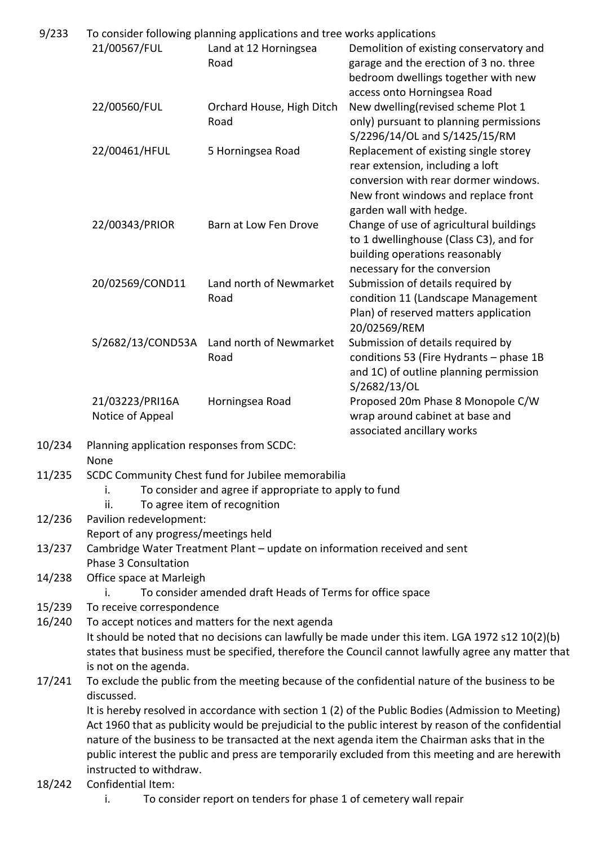| 9/233  | To consider following planning applications and tree works applications                                                                                                                                                                                                                                                                                                                                                                    |                                                   |                                                                                                                                                                                                         |  |  |
|--------|--------------------------------------------------------------------------------------------------------------------------------------------------------------------------------------------------------------------------------------------------------------------------------------------------------------------------------------------------------------------------------------------------------------------------------------------|---------------------------------------------------|---------------------------------------------------------------------------------------------------------------------------------------------------------------------------------------------------------|--|--|
|        | 21/00567/FUL                                                                                                                                                                                                                                                                                                                                                                                                                               | Land at 12 Horningsea<br>Road                     | Demolition of existing conservatory and<br>garage and the erection of 3 no. three<br>bedroom dwellings together with new<br>access onto Horningsea Road                                                 |  |  |
|        | 22/00560/FUL                                                                                                                                                                                                                                                                                                                                                                                                                               | Orchard House, High Ditch<br>Road                 | New dwelling(revised scheme Plot 1<br>only) pursuant to planning permissions<br>S/2296/14/OL and S/1425/15/RM                                                                                           |  |  |
|        | 22/00461/HFUL                                                                                                                                                                                                                                                                                                                                                                                                                              | 5 Horningsea Road                                 | Replacement of existing single storey<br>rear extension, including a loft<br>conversion with rear dormer windows.<br>New front windows and replace front<br>garden wall with hedge.                     |  |  |
|        | 22/00343/PRIOR                                                                                                                                                                                                                                                                                                                                                                                                                             | Barn at Low Fen Drove                             | Change of use of agricultural buildings<br>to 1 dwellinghouse (Class C3), and for<br>building operations reasonably<br>necessary for the conversion                                                     |  |  |
|        | 20/02569/COND11                                                                                                                                                                                                                                                                                                                                                                                                                            | Land north of Newmarket<br>Road                   | Submission of details required by<br>condition 11 (Landscape Management<br>Plan) of reserved matters application<br>20/02569/REM                                                                        |  |  |
|        | S/2682/13/COND53A                                                                                                                                                                                                                                                                                                                                                                                                                          | Land north of Newmarket<br>Road                   | Submission of details required by<br>conditions 53 (Fire Hydrants - phase 1B<br>and 1C) of outline planning permission<br>S/2682/13/OL                                                                  |  |  |
|        | 21/03223/PRI16A<br>Notice of Appeal                                                                                                                                                                                                                                                                                                                                                                                                        | Horningsea Road                                   | Proposed 20m Phase 8 Monopole C/W<br>wrap around cabinet at base and<br>associated ancillary works                                                                                                      |  |  |
| 10/234 | Planning application responses from SCDC:<br>None                                                                                                                                                                                                                                                                                                                                                                                          |                                                   |                                                                                                                                                                                                         |  |  |
| 11/235 | SCDC Community Chest fund for Jubilee memorabilia<br>To consider and agree if appropriate to apply to fund<br>i.<br>ii.<br>To agree item of recognition                                                                                                                                                                                                                                                                                    |                                                   |                                                                                                                                                                                                         |  |  |
| 12/236 | Pavilion redevelopment:<br>Report of any progress/meetings held                                                                                                                                                                                                                                                                                                                                                                            |                                                   |                                                                                                                                                                                                         |  |  |
| 13/237 | Cambridge Water Treatment Plant - update on information received and sent<br><b>Phase 3 Consultation</b>                                                                                                                                                                                                                                                                                                                                   |                                                   |                                                                                                                                                                                                         |  |  |
| 14/238 | Office space at Marleigh<br>To consider amended draft Heads of Terms for office space<br>i.                                                                                                                                                                                                                                                                                                                                                |                                                   |                                                                                                                                                                                                         |  |  |
| 15/239 | To receive correspondence                                                                                                                                                                                                                                                                                                                                                                                                                  |                                                   |                                                                                                                                                                                                         |  |  |
| 16/240 |                                                                                                                                                                                                                                                                                                                                                                                                                                            | To accept notices and matters for the next agenda |                                                                                                                                                                                                         |  |  |
|        |                                                                                                                                                                                                                                                                                                                                                                                                                                            |                                                   | It should be noted that no decisions can lawfully be made under this item. LGA 1972 s12 10(2)(b)<br>states that business must be specified, therefore the Council cannot lawfully agree any matter that |  |  |
| 17/241 | is not on the agenda.<br>To exclude the public from the meeting because of the confidential nature of the business to be<br>discussed.                                                                                                                                                                                                                                                                                                     |                                                   |                                                                                                                                                                                                         |  |  |
|        | It is hereby resolved in accordance with section 1 (2) of the Public Bodies (Admission to Meeting)<br>Act 1960 that as publicity would be prejudicial to the public interest by reason of the confidential<br>nature of the business to be transacted at the next agenda item the Chairman asks that in the<br>public interest the public and press are temporarily excluded from this meeting and are herewith<br>instructed to withdraw. |                                                   |                                                                                                                                                                                                         |  |  |
| 18/242 | Confidential Item:                                                                                                                                                                                                                                                                                                                                                                                                                         |                                                   |                                                                                                                                                                                                         |  |  |

i. To consider report on tenders for phase 1 of cemetery wall repair